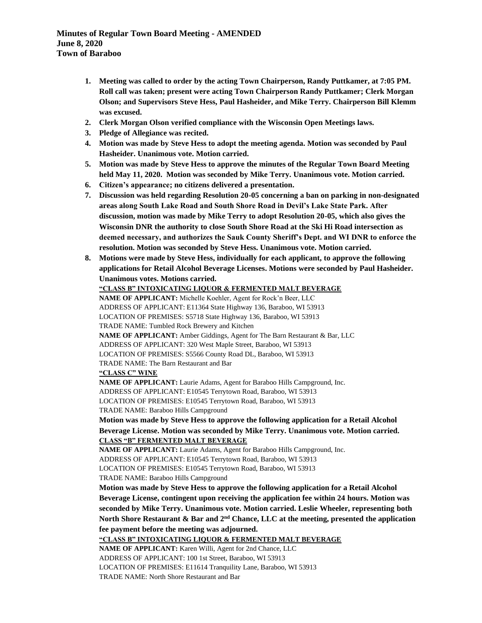- **1. Meeting was called to order by the acting Town Chairperson, Randy Puttkamer, at 7:05 PM. Roll call was taken; present were acting Town Chairperson Randy Puttkamer; Clerk Morgan Olson; and Supervisors Steve Hess, Paul Hasheider, and Mike Terry. Chairperson Bill Klemm was excused.**
- **2. Clerk Morgan Olson verified compliance with the Wisconsin Open Meetings laws.**
- **3. Pledge of Allegiance was recited.**
- **4. Motion was made by Steve Hess to adopt the meeting agenda. Motion was seconded by Paul Hasheider. Unanimous vote. Motion carried.**
- **5. Motion was made by Steve Hess to approve the minutes of the Regular Town Board Meeting held May 11, 2020. Motion was seconded by Mike Terry. Unanimous vote. Motion carried.**
- **6. Citizen's appearance; no citizens delivered a presentation.**
- **7. Discussion was held regarding Resolution 20-05 concerning a ban on parking in non-designated areas along South Lake Road and South Shore Road in Devil's Lake State Park. After discussion, motion was made by Mike Terry to adopt Resolution 20-05, which also gives the Wisconsin DNR the authority to close South Shore Road at the Ski Hi Road intersection as deemed necessary, and authorizes the Sauk County Sheriff's Dept. and WI DNR to enforce the resolution. Motion was seconded by Steve Hess. Unanimous vote. Motion carried.**
- **8. Motions were made by Steve Hess, individually for each applicant, to approve the following applications for Retail Alcohol Beverage Licenses. Motions were seconded by Paul Hasheider. Unanimous votes. Motions carried.**

```
"CLASS B" INTOXICATING LIQUOR & FERMENTED MALT BEVERAGE
NAME OF APPLICANT: Michelle Koehler, Agent for Rock'n Beer, LLC
ADDRESS OF APPLICANT: E11364 State Highway 136, Baraboo, WI 53913
LOCATION OF PREMISES: S5718 State Highway 136, Baraboo, WI 53913
TRADE NAME: Tumbled Rock Brewery and Kitchen
NAME OF APPLICANT: Amber Giddings, Agent for The Barn Restaurant & Bar, LLC
ADDRESS OF APPLICANT: 320 West Maple Street, Baraboo, WI 53913
LOCATION OF PREMISES: S5566 County Road DL, Baraboo, WI 53913
TRADE NAME: The Barn Restaurant and Bar
"CLASS C" WINE
NAME OF APPLICANT: Laurie Adams, Agent for Baraboo Hills Campground, Inc.
ADDRESS OF APPLICANT: E10545 Terrytown Road, Baraboo, WI 53913
LOCATION OF PREMISES: E10545 Terrytown Road, Baraboo, WI 53913
TRADE NAME: Baraboo Hills Campground
Motion was made by Steve Hess to approve the following application for a Retail Alcohol 
Beverage License. Motion was seconded by Mike Terry. Unanimous vote. Motion carried.
CLASS "B" FERMENTED MALT BEVERAGE
NAME OF APPLICANT: Laurie Adams, Agent for Baraboo Hills Campground, Inc.
ADDRESS OF APPLICANT: E10545 Terrytown Road, Baraboo, WI 53913
LOCATION OF PREMISES: E10545 Terrytown Road, Baraboo, WI 53913
TRADE NAME: Baraboo Hills Campground
Motion was made by Steve Hess to approve the following application for a Retail Alcohol 
Beverage License, contingent upon receiving the application fee within 24 hours. Motion was 
seconded by Mike Terry. Unanimous vote. Motion carried. Leslie Wheeler, representing both 
North Shore Restaurant & Bar and 2nd Chance, LLC at the meeting, presented the application 
fee payment before the meeting was adjourned.
"CLASS B" INTOXICATING LIQUOR & FERMENTED MALT BEVERAGE
NAME OF APPLICANT: Karen Willi, Agent for 2nd Chance, LLC
ADDRESS OF APPLICANT: 100 1st Street, Baraboo, WI 53913
LOCATION OF PREMISES: E11614 Tranquility Lane, Baraboo, WI 53913
```
TRADE NAME: North Shore Restaurant and Bar